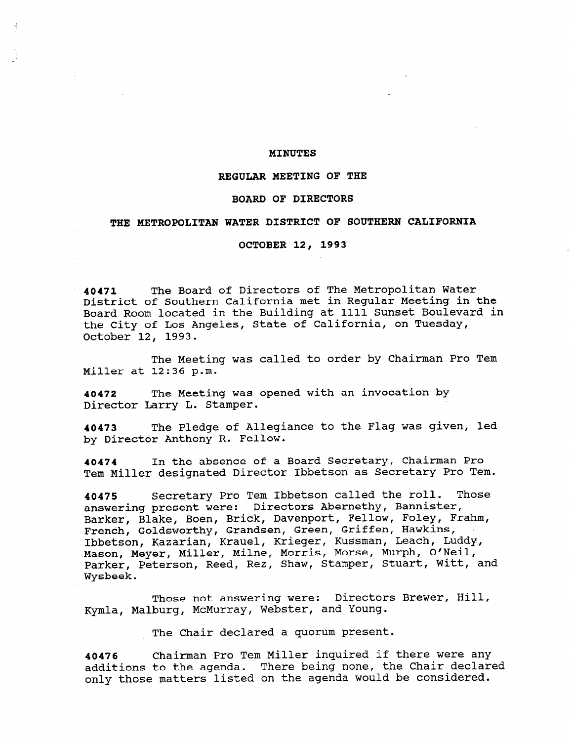## MINUTES

## REGULAR MEETING OF THE

## BOARD OF DIRECTORS

# THE METROPOLITAN WATER DISTRICT OF SOUTHERN CALIFORNIA

### OCTOBER 12, 1993

40471 The Board of Directors of The Metropolitan Water District of Southern California met in Regular Meeting in the Board Room located in the Building at 1111 Sunset Boulevard in the City of Los Angeles, State of California, on Tuesday, October 12, 1993.

The Meeting was called to order by Chairman Pro Tem Miller at 12:36 p.m.

40472 The Meeting was opened with an invocation by Director Larry L. Stamper.

40473 The Pledge of Allegiance to the Flag was given, led by Director Anthony R. Fellow.

40474 In the absence of a Board Secretary, Chairman Pro Tem Miller designated Director Ibbetson as Secretary Pro Tem.

40475 Secretary Pro Tem Ibbetson called the roll. Those answering present were: Directors Abernethy, Bannister, Barker, Blake, Boen, Brick, Davenport, Fellow, Foley, Frahm, French, Goldsworthy, Grandsen, Green, Griffen, Hawkins, Ibbetson, Kazarian, Krauel, Krieger, Kussman, Leach, Luddy, Mason, Meyer, Miller, Milne, Morris, Morse, Murph, O'Neil, Mason, Reyer, Miller, Mille, Rollis, Roise, Raiph, S. Neil,<br>Derker, Deterson, Bood, Boz, Shaw, Stamper, Stuart, Witt, and Palkel,<br>Wester

Those not answering were: Directors Brewer, Hill, Kymla, Malburg, McMurray, Webster, and Young.

The Chair declared a quorum present.

40476 Chairman Pro Tem Miller inquired if there were any additions to the agenda. There being none, the Chair declared only those matters listed on the agenda would be considered.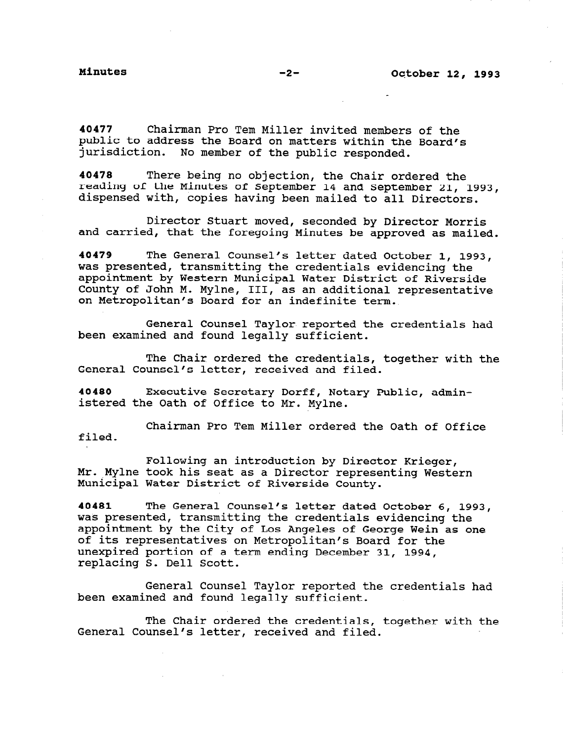40477 Chairman Pro Tern Miller invited members of the public to address the Board on matters within the Board's jurisdiction. No member of the public responded.

40478 There being no objection, the Chair ordered the reading of the Minutes of September 14 and September 21, 1993, dispensed with, copies having been mailed to all Directors.

Director Stuart moved, seconded by Director Morris and carried, that the foregoing Minutes be approved as mailed.

40479 The General Counsel's letter dated October 1, 1993, was presented, transmitting the credentials evidencing the appointment by Western Municipal Water District of Riverside County of John M. Mylne, III, as an additional representative on Metropolitan's Board for an indefinite term.

General Counsel Taylor reported the credentials had been examined and found legally sufficient.

The Chair ordered the credentials, together with the General Counsel's letter, received and filed.

40480 Executive Secretary Dorff, Notary Public, administered the Oath of Office to Mr. Mylne.

Chairman Pro Tem Miller ordered the Oath of Office filed.

toffering an indicadomini by Difector Rifeger,<br>Mr. Mylne took his seat as a Director representing Western Municipal Water District of Riverside County. Following an introduction by Director Krieger,

40481 The General Counsel's letter dated October 6, 1993, was presented, transmitting the credentials evidencing the was presented, transmitting the Credentials evidencing the of its representatives on Metropolitan's Board for the unexpired portion of a term ending December 31, 1994, unexpried portion of a

General Counsel Taylor reported the credentials had been examined and found legally sufficient.

 $\mathbb{F}$  chair ordered the credentials, together with the credit the credit the credit the credit theorem with the credit the credit theorem with the credit the credit theorem with the credit the credit theorem with the c The Chair ordered the credentials<br>Counsel Counsel's letter, received and filed.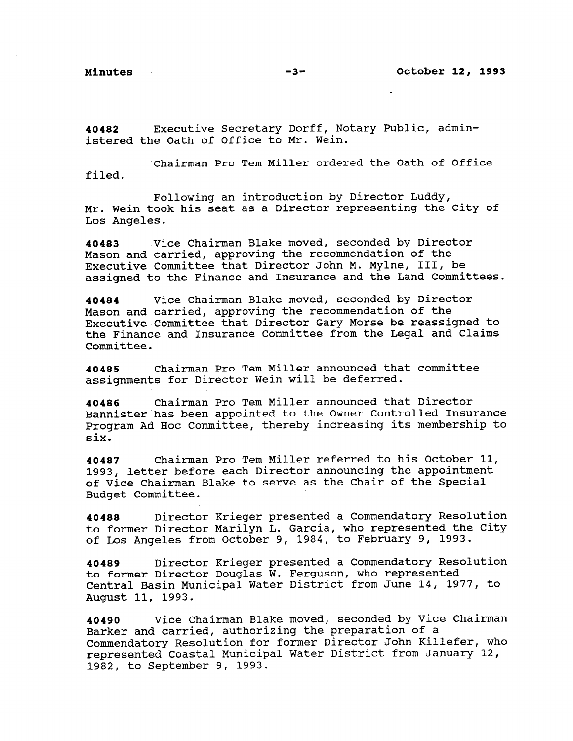40482 Executive Secretary Dorff, Notary Public, administered the Oath of Office to Mr. Wein.

Chairman Pro Tem Miller ordered the Oath of Office filed.

Following an introduction by Director Luddy, Mr. Wein took his seat as a Director representing the City of Los Angeles.

40483 Vice Chairman Blake moved, seconded by Director Mason and carried, approving the recommendation of the Executive Committee that Director John M. Mylne, III, be assigned to the Finance and Insurance and the Land Committees.

40484 Vice Chairman Blake moved, seconded by Director Mason and carried, approving the recommendation of the Executive Committee that Director Gary Morse be reassigned to the Finance and Insurance Committee from the Legal and Claims Committee.

40485 Chairman Pro Tern Miller announced that committee assignments for Director Wein will be deferred.

40486 Chairman Pro Tern Miller announced that Director Bannister has been appointed to the Owner Controlled Insurance Program Ad Hoc Committee, thereby increasing its membership to six.

40487 Chairman Pro Tem Miller referred to his October 11, 1993, letter before each Director announcing the appointment of Vice Chairman Blake to serve as the Chair of the Special Budget Committee.

40488 Director Krieger presented a Commendatory Resolution to former Director Marilyn L. Garcia, who represented the City of Los Angeles from October 9, 1984, to February 9, 1993.

40489 Director Krieger presented a Commendatory Resolution to former Director Douglas W. Ferguson, who represented Central Basin Municipal Water District from June 14, 1977, to August 11, 1993.

40490 Vice Chairman Blake moved, seconded by Vice Chairman Barker and carried, authorizing the preparation of a Barker and Carried, authorizing the preparation of a represented Coastal Municipal Water District from January 12, represented Coastal Municipal Water District from January 12,<br>1982, to September 9, 1993.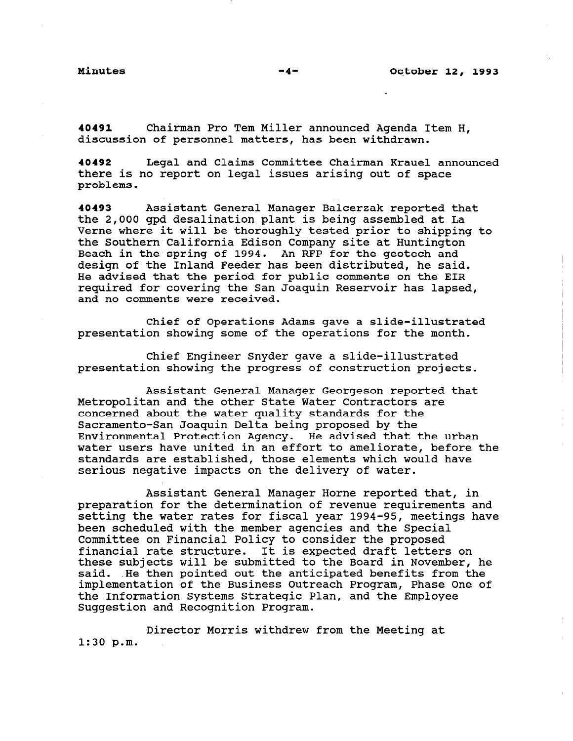40491 Chairman Pro Tern Miller announced Agenda Item H, discussion of personnel matters, has been withdrawn.

40492 Legal and Claims Committee Chairman Krauel announced there is no report on legal issues arising out of space problems.

40493 Assistant General Manager Balcerzak reported that the 2,000 gpd desalination plant is being assembled at La Verne where it will be thoroughly tested prior to shipping to the Southern California Edison Company site at Huntington Beach in the spring of 1994. An RFP for the geotech and design of the Inland Feeder has been distributed, he said. He advised that the period for public comments on the EIR required for covering the San Joaguin Reservoir has lapsed, and no comments were received.

Chief of Operations Adams gave a slide-illustrated presentation showing some of the operations for the month.

Chief Engineer Snyder gave a slide-illustrated presentation showing the progress of construction projects.

Assistant General Manager Georgeson reported that Metropolitan and the other State Water Contractors are concerned about the water quality standards for the Sacramento-San Joaguin Delta being proposed by the Environmental Protection Agency. He advised that the urban water users have united in an effort to ameliorate, before the standards are established, those elements which would have serious negative impacts on the delivery of water.

Assistant General Manager Horne reported that, in preparation for the determination of revenue requirements and setting the water rates for fiscal year 1994-95, meetings have been scheduled with the member agencies and the Special peen scheudied with the member agencies and the specifical policy. committee on financial rolley to consider the proposed these subjects will be submitted to the Board in November, he chese subjects will be submitted to the boaid in November, i. said. He then pointed out the anticipated benefits from the implementation of the Business Outreach Program, Phase One of the Information Systems Strategic Plan, and the Employee<br>Suggestion and Recognition Program.

Director Morris withdrew from the Meeting at 1:30 p.m.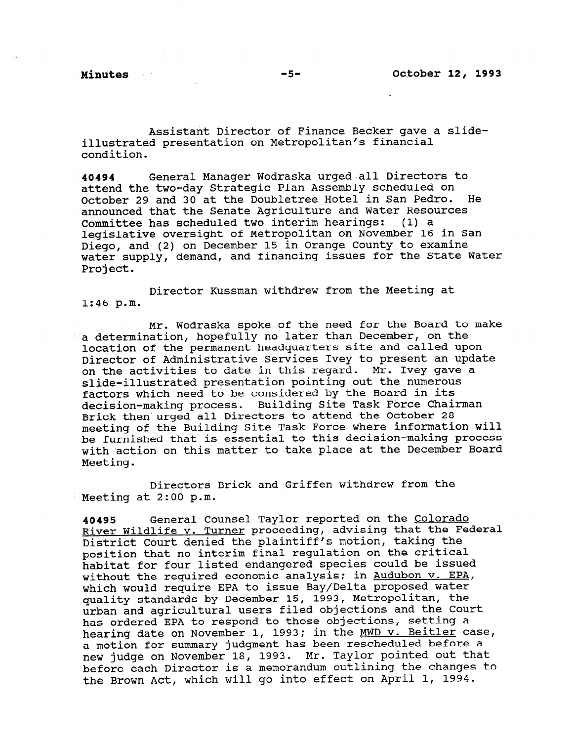Assistant Director of Finance Becker gave a slideillustrated presentation on Metropolitan's financial condition.

40494 General Manager Wodraska urged 'all Directors to attend the two-day Strategic Plan Assembly scheduled on October 29 and 30 at the Doubletree Hotel in San Pedro. He announced that the Senate Agriculture and Water Resources Committee has scheduled two interim hearings: (1) a legislative oversight of Metropolitan on November 16 in San Diego, and (2) on December 15 in Orange County to examine water supply, demand, and financing issues for the State Water Project.

Director Kussman withdrew from the Meeting at 1:46 p.m.

Mr. Wodraska spoke of the need for the Board to make a determination, hopefully no later than December, on the location of the permanent headquarters site and called upon Director of Administrative Services Ivey to present an update on the activities to date in this regard. Mr. Ivey gave a slide-illustrated presentation pointing out the numerous factors which need to be considered by the Board in its decision-making process. Building Site Task Force Chairman Brick then urged all Directors to attend the October 28 meeting of the Building Site Task Force where information will be furnished that is essential to this decision-making process with action on this matter to take place at the December Board Meeting.

Directors Brick and Griffen withdrew from the Meeting at 2:00 p.m.

40495 General Counsel Taylor reported on the Colorado River Wildlife v. Turner proceeding, advising that the Federal District Court denied the plaintiff's motion, taking the position that no interim final regulation on the critical habitat for four listed endangered species could be issued without the required economic analysis; in Audubon v. EPA, which would require EPA to issue Bay/Delta proposed water quality standards by December 15, 1993, Metropolitan, the urban and agricultural users filed objections and the Court has ordered EPA to respond to those objections, setting a hearing date on November 1, 1993; in the MWD v. Beitler case, mearing date on november 1, 1990, in the mmp v. Bertick case a motion for summary judgment has been reschedured before a new judge on November 18, 1993. Mr. Taylor pointed out that<br>before each Director is a memorandum outlining the changes to the Brown Act, which will go into effect on April 1, 1994.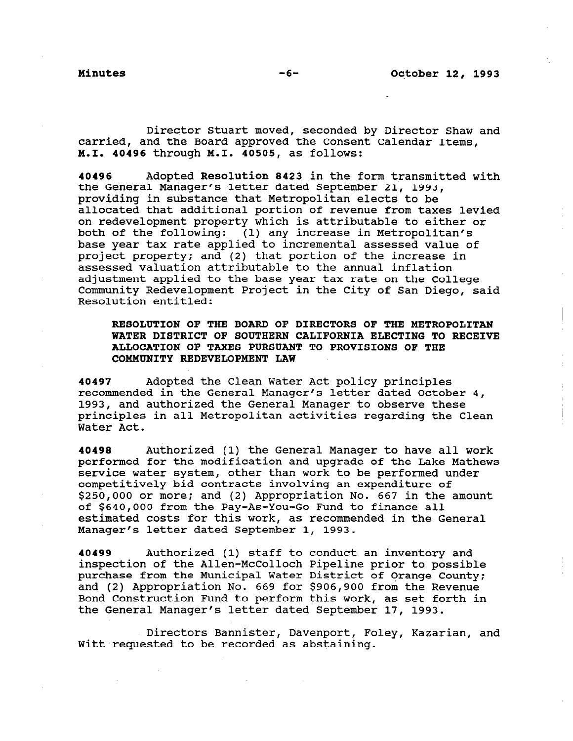Director Stuart moved, seconded by Director Shaw and carried, and the Board approved the Consent Calendar Items, M-1. 40496 through M.I. 40505, as follows:

40496 Adopted Resolution 8423 in the form transmitted with the General Manager's letter dated September 21, 1993, providing in substance that Metropolitan elects to be allocated that additional portion of revenue from taxes levied on redevelopment property which is attributable to either or both of the following: (1) any increase in Metropolitan's base year tax rate applied to incremental assessed value of project property; and (2) that portion of the increase in assessed valuation attributable to the annual inflation adjustment applied to the base year tax rate on the College Community Redevelopment Project in the City of San Diego, said Resolution entitled:

RESOLUTION OF THE BOARD OF DIRECTORS OF THE METROPOLITAN WATER DISTRICT OF SOUTHERN CALIFORNIA ELECTING TO RECEIVE ALLOCATION OF TAXES PURSUANT TO PROVISIONS OF THE COMMUNITY REDEVELOPMENT LAW

40497 Adopted the Clean Water Act policy principles recommended in the General Manager's letter dated October 4, 1993, and authorized the General Manager to observe these principles in all Metropolitan activities regarding the Clean Water Act.

40498 Authorized (1) the General Manager to have all work performed for the modification and upgrade of the Lake Mathews service water system, other than work to be performed under competitively bid contracts involving an expenditure of \$250,000 or more: and (2) Appropriation No. 667 in the amount of \$640,000 from the Pay-As-You-Go Fund to finance all estimated costs for this work, as recommended in the General Manager's letter dated September 1, 1993.

40499 Authorized (1) staff to conduct an inventory and avayy and Authorized (i) stall to conduct an inventory and interesting and the prior to possible inspection of the Allen-McColloch Pipeline prior to possible<br>purchase from the Municipal Water District of Orange County; and (2) Appropriation No. 669 for \$906,900 from the Revenue Bond Construction Fund to perform this work, as set forth in the General Manager's letter dated September 17, 1993.

Directors Bannister, Davenport, Foley, Kazarian, and Witter to be requested to be requested to be recorded as abstract to be recorded as absorption of the set of t<br>The condensation of the condensation of the condensation of the condensation of the condensation of the conden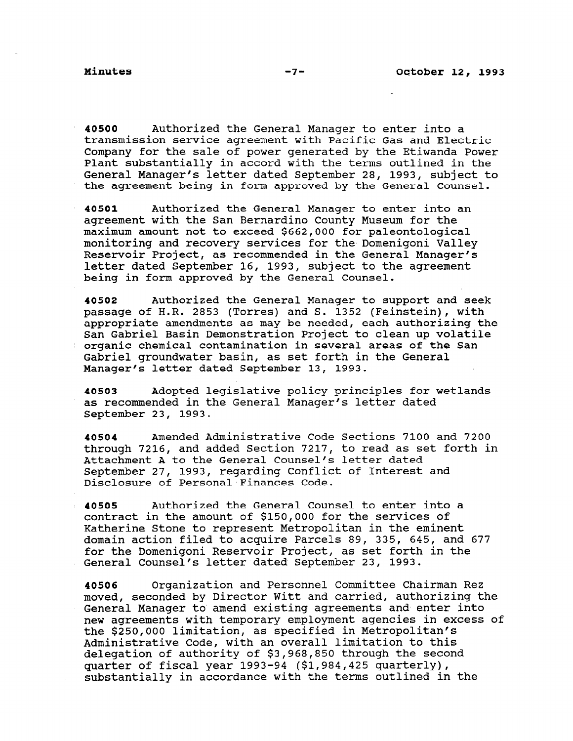40500 Authorized the General Manager to enter into a transmission service agreement with Pacific Gas and Electric Company for the sale of power generated by the Etiwanda Power Plant substantially in accord with the terms outlined in the General Manager's letter dated September 28, 1993, subject to the agreement being in form approved by the General Counsel.

40501 Authorized the General Manager to enter into an agreement with the San Bernardino County Museum for the maximum amount not to exceed \$662,000 for paleontological monitoring and recovery services for the Domenigoni Valley Reservoir Project, as recommended in the General Manager's letter dated September 16, 1993, subject to the agreement being in form approved by the General Counsel.

40502 Authorized the General Manager to support and seek passage of H.R. 2853 (Torres) and S. 1352 (Feinstein), with appropriate amendments as may be needed, each authorizing the San Gabriel Basin Demonstration Project to clean up volatile organic chemical contamination in several areas of the San Gabriel groundwater basin, as set forth in the General Manager's letter dated September 13, 1993.

40503 Adopted legislative policy principles for wetlands as recommended in the General Manager's letter dated September 23, 1993.

40504 Amended Administrative Code Sections 7100 and 7200 through 7216, and added Section 7217, to read as set forth in Attachment A to the General Counsel's letter dated September 27, 1993, regarding Conflict of Interest and Disclosure of Personal Finances Code.

40505 Authorized the General Counsel to enter into a contract in the amount of \$150,000 for the services of Katherine Stone to represent Metropolitan in the eminent domain action filed to acquire Parcels 89, 335, 645, and 677 for the Domenigoni Reservoir Project, as set forth in the for the Domenigoni Reservoir Project, as set forth in the General Counsel's letter dated September 23, 1993.

40506 Organization and Personnel Committee Chairman Rez moved, seconded by Director Witt and carried, authorizing the moved, seconded by Birector with and carried, additionizing new agreements with temporary employment agencies in excess of new agreements with temporary employment agencies in excess of the \$250,000 limitation, as specified in Metropolitan's Administrative Code, with an overall limitation to this delegation of authority of \$3,968,850 through the second quarter of fiscal year 1993-94 (\$1,984,425 quarterly),<br>substantially in accordance with the terms outlined in the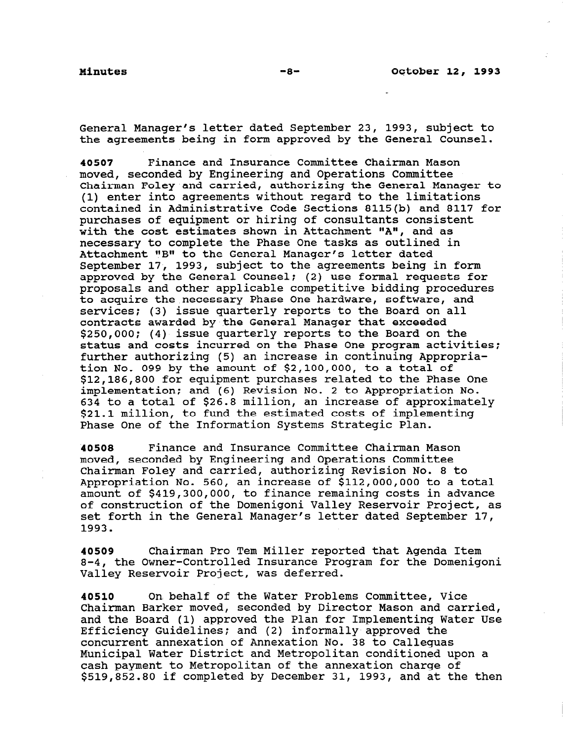General Manager's letter dated September 23, 1993, subject to the agreements being in form approved by the General Counsel.

40507 Finance and Insurance Committee Chairman Mason moved, seconded by Engineering and Operations Committee Chairman Foley and carried, authorizing the General Manager to (1) enter into agreements without regard to the limitations contained in Administrative Code Sections 8115(b) and 8117 for purchases of equipment or hiring of consultants consistent with the cost estimates shown in Attachment "A", and as necessary to complete the Phase One tasks as outlined in Attachment "B" to the General Manager's letter dated September 17, 1993, subject to the agreements being in form approved by the General Counsel: (2) use formal requests for proposals and other applicable competitive bidding procedures to acquire the necessary Phase One hardware, software, and services; (3) issue quarterly reports to the Board on all contracts awarded by the General Manager that exceeded \$250,000; (4) issue quarterly reports to the Board on the status and costs incurred on the Phase One program activities: further authorizing (5) an increase in continuing Appropriation No. 099 by the amount of \$2,100,000, to a total of \$12,186,800 for equipment purchases related to the Phase One implementation: and (6) Revision No. 2 to Appropriation No. 634 to a total of \$26.8 million, an increase of approximately \$21.1 million, to fund the estimated costs of implementing Phase One of the Information Systems Strategic Plan.

40508 Finance and Insurance Committee Chairman Mason moved, seconded by Engineering and Operations Committee Chairman Foley and carried, authorizing Revision No. 8 to Appropriation No. 560, an increase of \$112,000,000 to a total amount of \$419,300,000, to finance remaining costs in advance of construction of the Domenigoni Valley Reservoir Project, as set forth in the General Manager's letter dated September 17, 1993.

40509 Chairman Pro Tern Miller reported that Agenda Item 8-4, the Owner-Controlled Insurance Program for the Domenigoni 0-4, the Owner-Controlled Insurance P

40510 On behalf of the Water Problems Committee, Vice Chairman Barker moved, seconded by Dir,ector Mason and carried, Chairman barker moved, seconded by Director Mason and Carried,<br>and the Board (1) approved the Plan for Implementing Water Use and the Board (1) approved the Plan for Implementing Water Use Efficiency Guidelines; and (2) informally approved the concurrent annexation of Annexation No. 38 to Calleguas Municipal Water District and Metropolitan conditioned upon a cash payment to Metropolitan of the annexation charge of<br>\$519,852.80 if completed by December 31, 1993, and at the then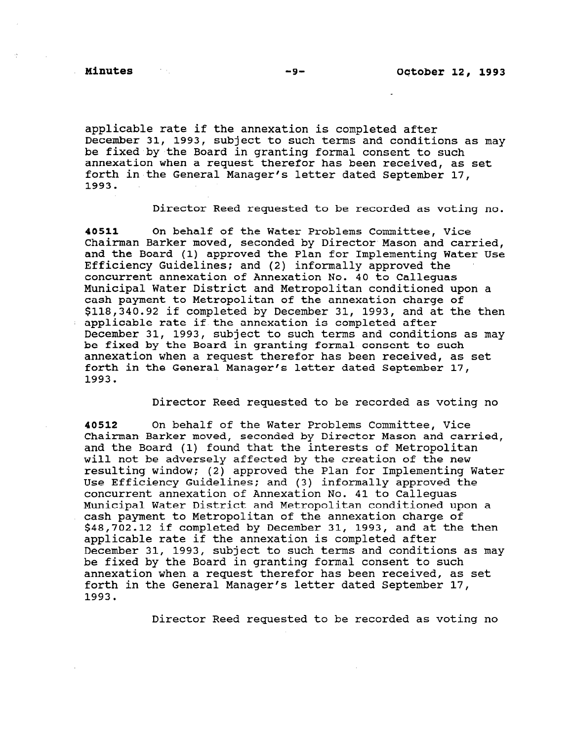applicable rate if the annexation is completed after December 31, 1993, subject to such terms and conditions as may be fixed by the Board in granting formal consent to such annexation when a request therefor has been received, as set forth in the General Manager's letter dated September 17, 1993.

Director Reed requested to be recorded as voting no.

40511 On behalf of the Water Problems Committee, Vice Chairman Barker moved, seconded by Director Mason and carried, and the Board (1) approved the Plan for Implementing Water Use Efficiency Guidelines; and (2) informally approved the concurrent annexation of Annexation No. 40 to Calleguas Municipal Water District and Metropolitan conditioned upon a cash payment to Metropolitan of the annexation charge of \$118,340.92 if completed by December 31, 1993, and at the then applicable rate if the annexation is completed after December 31, 1993, subject to such terms and conditions as may be fixed by the Board in granting formal consent to such annexation when a request therefor has been received, as set forth in the General Manager's letter dated September 17, 1993.

Director Reed requested to be recorded as voting no

40512 On behalf of the Water Problems Committee, Vice Chairman Barker moved, seconded by Director Mason and carried, and the Board (1) found that the interests of Metropolitan will not be adversely affected by the creation of the new resulting window; (2) approved the Plan for Implementing Water Use Efficiency Guidelines; and (3) informally approved the concurrent annexation of Annexation No. 41 to Calleguas Municipal Water District and Metropolitan conditioned upon a cash payment to Metropolitan of the annexation charge of \$48,702.12 if completed by December 31, 1993, and at the then applicable rate if the annexation is completed after December 31, 1993, subject to such terms and conditions as may be fixed by the Board in granting formal consent to such annexation when a request therefor has been received, as set forth in the General Manager's letter dated September 17, 1993.

Director Reed requested to be recorded as voting no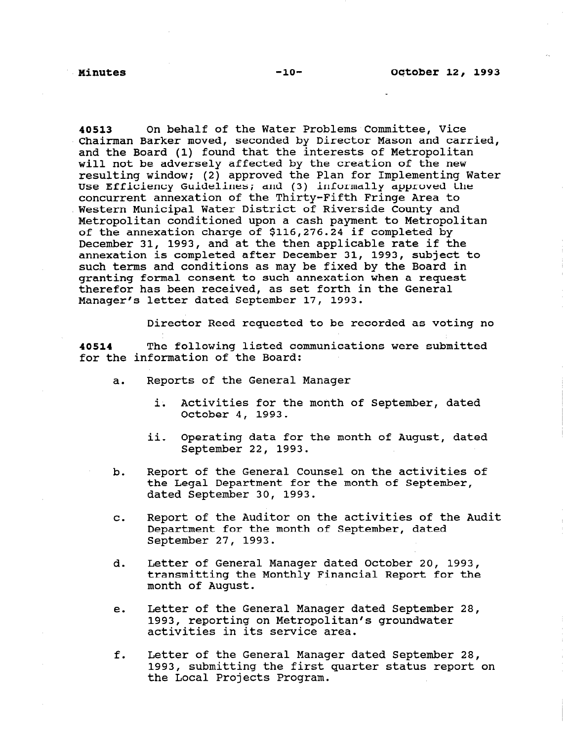40513 On behalf of the Water Problems Committee, Vice Chairman Barker moved, seconded by Director Mason and carried, and the Board (1) found that the interests of Metropolitan will not be adversely affected by the creation of the new resulting window; (2) approved the Plan for Implementing Water Use Efficiency Guidelines: and (3) informally approved the concurrent annexation of the Thirty-Fifth Fringe Area to Western Municipal Water District of Riverside County and Metropolitan conditioned upon a cash payment to Metropolitan of the annexation charge of \$116,276.24 if completed by December 31, 1993, and at the then applicable rate if the annexation is completed after December 31, 1993, subject to such terms and conditions as may be fixed by the Board in granting formal consent to such annexation when a request therefor has been received, as set forth in the General Manager's letter dated September 17, 1993.

Director Reed requested to be recorded as voting no

40514 The following listed communications were submitted for the information of the Board:

- a. Reports of the General Manager
	- i. Activities for the month of September, dated October 4, 1993.
	- ii. Operating data for the month of August, dated September 22, 1993.
- b. Report of the General Counsel on the activities of the Legal Department for the month of September, dated September 30, 1993.
- C. Report of the Auditor on the activities of the Audit Department for the month of September, dated September 27, 1993.
- d. Letter of General Manager dated October 20, 1993, transmitting the Monthly Financial Report for the month of August.
- e. Letter of the General Manager dated September 28, 1993, reporting on Metropolitan's groundwater 1993, reporting on Metropolitan's groundwater<br>activities in its service area.
- f. Letter of the General Manager dated September 28, Letter of the General Manager dated september 28, 1993, submitting the first quarter status report on the Local Projects Program.